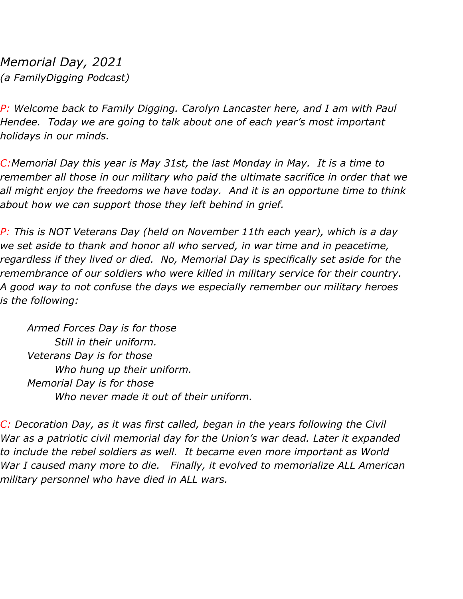*Memorial Day, 2021 (a FamilyDigging Podcast)*

*P: Welcome back to Family Digging. Carolyn Lancaster here, and I am with Paul Hendee. Today we are going to talk about one of each year's most important holidays in our minds.*

*C:Memorial Day this year is May 31st, the last Monday in May. It is a time to remember all those in our military who paid the ultimate sacrifice in order that we all might enjoy the freedoms we have today. And it is an opportune time to think about how we can support those they left behind in grief.*

*P: This is NOT Veterans Day (held on November 11th each year), which is a day we set aside to thank and honor all who served, in war time and in peacetime, regardless if they lived or died. No, Memorial Day is specifically set aside for the remembrance of our soldiers who were killed in military service for their country. A good way to not confuse the days we especially remember our military heroes is the following:*

*Armed Forces Day is for those Still in their uniform. Veterans Day is for those Who hung up their uniform. Memorial Day is for those Who never made it out of their uniform.*

*C: Decoration Day, as it was first called, began in the years following the Civil War as a patriotic civil memorial day for the Union's war dead. Later it expanded to include the rebel soldiers as well. It became even more important as World War I caused many more to die. Finally, it evolved to memorialize ALL American military personnel who have died in ALL wars.*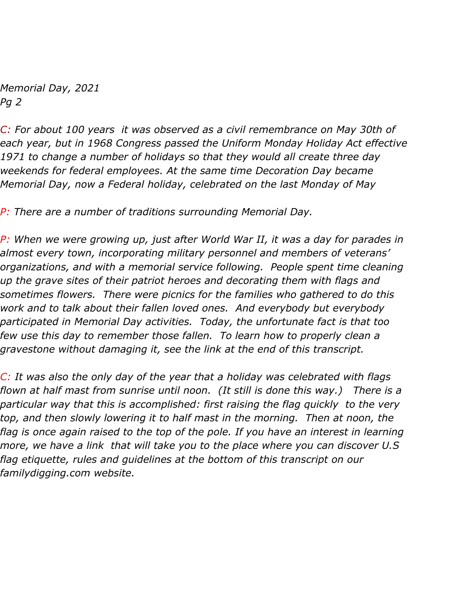*Memorial Day, 2021 Pg 2*

*C: For about 100 years it was observed as a civil remembrance on May 30th of each year, but in 1968 Congress passed the Uniform Monday Holiday Act effective 1971 to change a number of holidays so that they would all create three day weekends for federal employees. At the same time Decoration Day became Memorial Day, now a Federal holiday, celebrated on the last Monday of May*

*P: There are a number of traditions surrounding Memorial Day.*

*P: When we were growing up, just after World War II, it was a day for parades in almost every town, incorporating military personnel and members of veterans' organizations, and with a memorial service following. People spent time cleaning up the grave sites of their patriot heroes and decorating them with flags and sometimes flowers. There were picnics for the families who gathered to do this work and to talk about their fallen loved ones. And everybody but everybody participated in Memorial Day activities. Today, the unfortunate fact is that too few use this day to remember those fallen. To learn how to properly clean a gravestone without damaging it, see the link at the end of this transcript.*

*C: It was also the only day of the year that a holiday was celebrated with flags flown at half mast from sunrise until noon. (It still is done this way.) There is a particular way that this is accomplished: first raising the flag quickly to the very top, and then slowly lowering it to half mast in the morning. Then at noon, the flag is once again raised to the top of the pole. If you have an interest in learning more, we have a link that will take you to the place where you can discover U.S flag etiquette, rules and guidelines at the bottom of this transcript on our familydigging.com website.*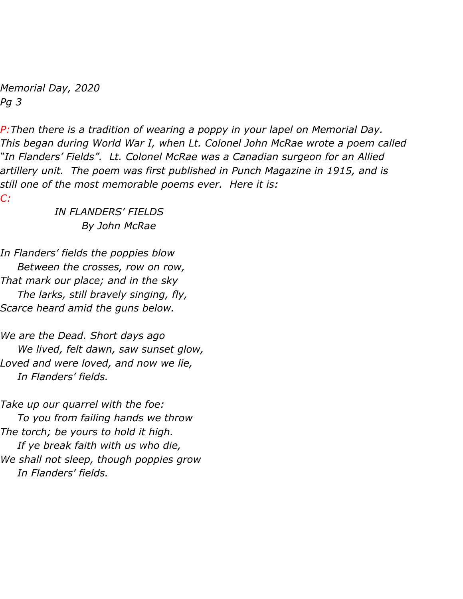*Memorial Day, 2020 Pg 3*

*P:Then there is a tradition of wearing a poppy in your lapel on Memorial Day. This began during World War I, when Lt. Colonel John McRae wrote a poem called "In Flanders' Fields". Lt. Colonel McRae was a Canadian surgeon for an Allied artillery unit. The poem was first published in Punch Magazine in 1915, and is still one of the most memorable poems ever. Here it is: C:*

> *IN FLANDERS' FIELDS By John McRae*

*In Flanders' fields the poppies blow Between the crosses, row on row, That mark our place; and in the sky The larks, still bravely singing, fly, Scarce heard amid the guns below.*

*We are the Dead. Short days ago We lived, felt dawn, saw sunset glow, Loved and were loved, and now we lie, In Flanders' fields.*

*Take up our quarrel with the foe: To you from failing hands we throw The torch; be yours to hold it high. If ye break faith with us who die, We shall not sleep, though poppies grow In Flanders' fields.*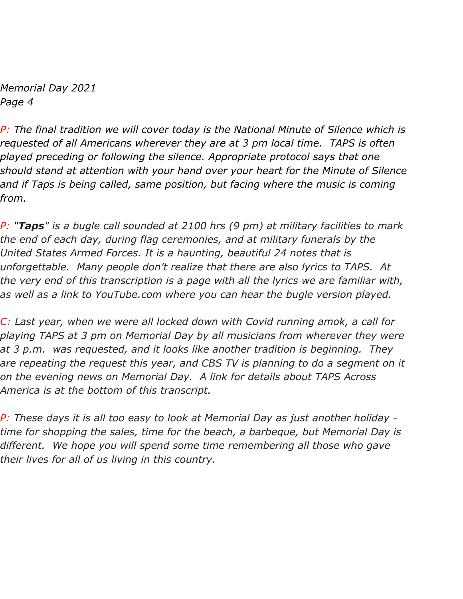*Memorial Day 2021 Page 4*

*P: The final tradition we will cover today is the National Minute of Silence which is requested of all Americans wherever they are at 3 pm local time. TAPS is often played preceding or following the silence. Appropriate protocol says that one should stand at attention with your hand over your heart for the Minute of Silence and if Taps is being called, same position, but facing where the music is coming from.*

*P: "Taps" is a bugle call sounded at 2100 hrs (9 pm) at military facilities to mark the end of each day, during flag ceremonies, and at military funerals by the United States Armed Forces. It is a haunting, beautiful 24 notes that is unforgettable. Many people don't realize that there are also lyrics to TAPS. At the very end of this transcription is a page with all the lyrics we are familiar with, as well as a link to YouTube.com where you can hear the bugle version played.*

*C: Last year, when we were all locked down with Covid running amok, a call for playing TAPS at 3 pm on Memorial Day by all musicians from wherever they were at 3 p.m. was requested, and it looks like another tradition is beginning. They are repeating the request this year, and CBS TV is planning to do a segment on it on the evening news on Memorial Day. A link for details about TAPS Across America is at the bottom of this transcript.*

*P: These days it is all too easy to look at Memorial Day as just another holiday time for shopping the sales, time for the beach, a barbeque, but Memorial Day is different. We hope you will spend some time remembering all those who gave their lives for all of us living in this country.*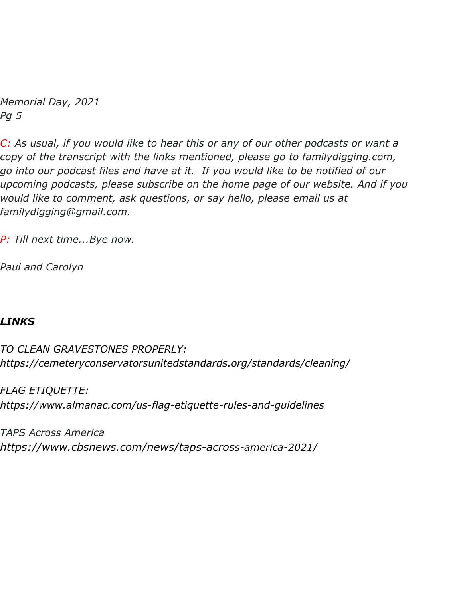*Memorial Day, 2021 Pg 5*

*C: As usual, if you would like to hear this or any of our other podcasts or want a copy of the transcript with the links mentioned, please go to familydigging.com, go into our podcast files and have at it. If you would like to be notified of our upcoming podcasts, please subscribe on the home page of our website. And if you would like to comment, ask questions, or say hello, please email us at familydigging@gmail.com.*

*P: Till next time...Bye now.*

*Paul and Carolyn*

## *LINKS*

*TO CLEAN GRAVESTONES PROPERLY: https://cemeteryconservatorsunitedstandards.org/standards/cleaning/*

*FLAG ETIQUETTE: https://www.almanac.com/us-flag-etiquette-rules-and-guidelines*

*TAPS Across America https://www.cbsnews.com/news/taps-across-america-2021/*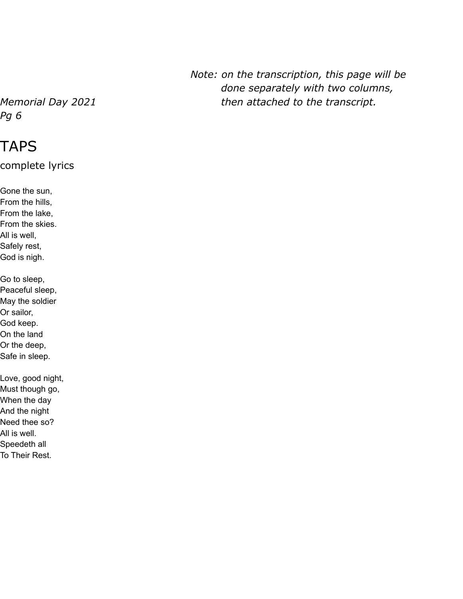*Pg 6*

## TAPS

complete lyrics

Gone the sun, From the hills, From the lake, From the skies. All is well, Safely rest, God is nigh. Go to sleep, Peaceful sleep, May the soldier Or sailor, God keep. On the land Or the deep, Safe in sleep. Love, good night, Must though go, When the day And the night Need thee so?

All is well.

Speedeth all

To Their Rest.

*Note: on the transcription, this page will be done separately with two columns, Memorial Day 2021 then attached to the transcript.*